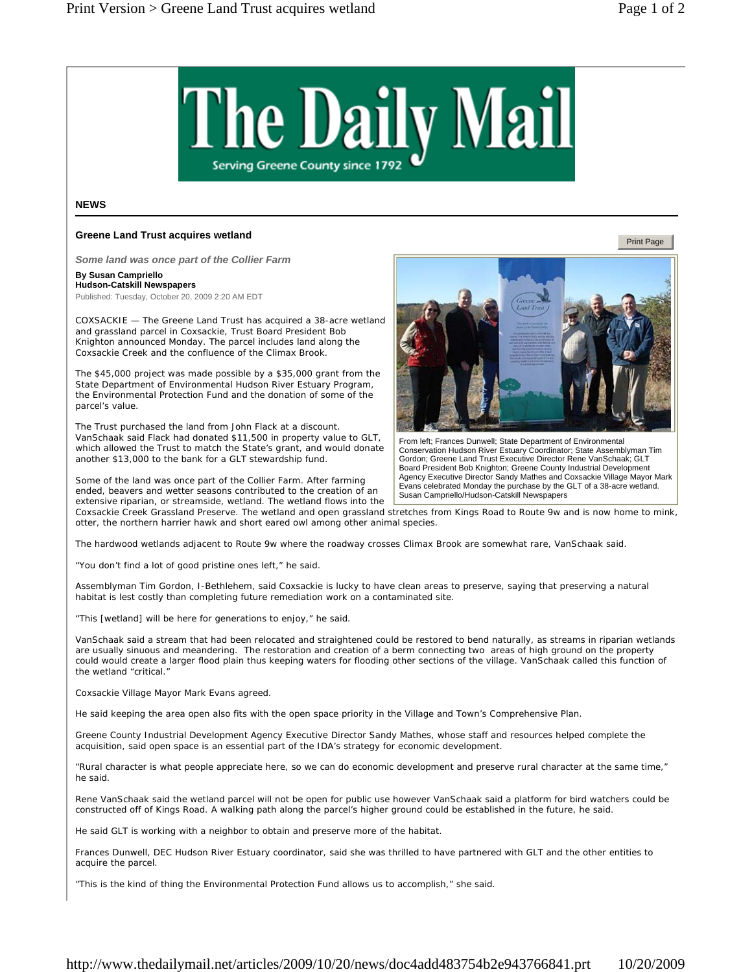

## **NEWS**

## **Greene Land Trust acquires wetland**

*Some land was once part of the Collier Farm* 

## **By Susan Campriello**

**Hudson-Catskill Newspapers** 

Published: Tuesday, October 20, 2009 2:20 AM EDT

COXSACKIE — The Greene Land Trust has acquired a 38-acre wetland and grassland parcel in Coxsackie, Trust Board President Bob Knighton announced Monday. The parcel includes land along the Coxsackie Creek and the confluence of the Climax Brook.

The \$45,000 project was made possible by a \$35,000 grant from the State Department of Environmental Hudson River Estuary Program, the Environmental Protection Fund and the donation of some of the parcel's value.

The Trust purchased the land from John Flack at a discount. VanSchaak said Flack had donated \$11,500 in property value to GLT, which allowed the Trust to match the State's grant, and would donate another \$13,000 to the bank for a GLT stewardship fund.

Some of the land was once part of the Collier Farm. After farming ended, beavers and wetter seasons contributed to the creation of an extensive riparian, or streamside, wetland. The wetland flows into the



The hardwood wetlands adjacent to Route 9w where the roadway crosses Climax Brook are somewhat rare, VanSchaak said.

"You don't find a lot of good pristine ones left," he said.

Assemblyman Tim Gordon, I-Bethlehem, said Coxsackie is lucky to have clean areas to preserve, saying that preserving a natural habitat is lest costly than completing future remediation work on a contaminated site.

"This [wetland] will be here for generations to enjoy," he said.

VanSchaak said a stream that had been relocated and straightened could be restored to bend naturally, as streams in riparian wetlands are usually sinuous and meandering. The restoration and creation of a berm connecting two areas of high ground on the property could would create a larger flood plain thus keeping waters for flooding other sections of the village. VanSchaak called this function of the wetland "critical."

Coxsackie Village Mayor Mark Evans agreed.

He said keeping the area open also fits with the open space priority in the Village and Town's Comprehensive Plan.

Greene County Industrial Development Agency Executive Director Sandy Mathes, whose staff and resources helped complete the acquisition, said open space is an essential part of the IDA's strategy for economic development.

"Rural character is what people appreciate here, so we can do economic development and preserve rural character at the same time," he said.

Rene VanSchaak said the wetland parcel will not be open for public use however VanSchaak said a platform for bird watchers could be constructed off of Kings Road. A walking path along the parcel's higher ground could be established in the future, he said.

He said GLT is working with a neighbor to obtain and preserve more of the habitat.

Frances Dunwell, DEC Hudson River Estuary coordinator, said she was thrilled to have partnered with GLT and the other entities to acquire the parcel.

"This is the kind of thing the Environmental Protection Fund allows us to accomplish," she said.



From left; Frances Dunwell; State Department of Environmental Conservation Hudson River Estuary Coordinator; State Assemblyman Tim Gordon; Greene Land Trust Executive Director Rene VanSchaak; GLT Board President Bob Knighton; Greene County Industrial Development Agency Executive Director Sandy Mathes and Coxsackie Village Mayor Mark Evans celebrated Monday the purchase by the GLT of a 38-acre wetland. Susan Campriello/Hudson-Catskill Newspapers

Print Page